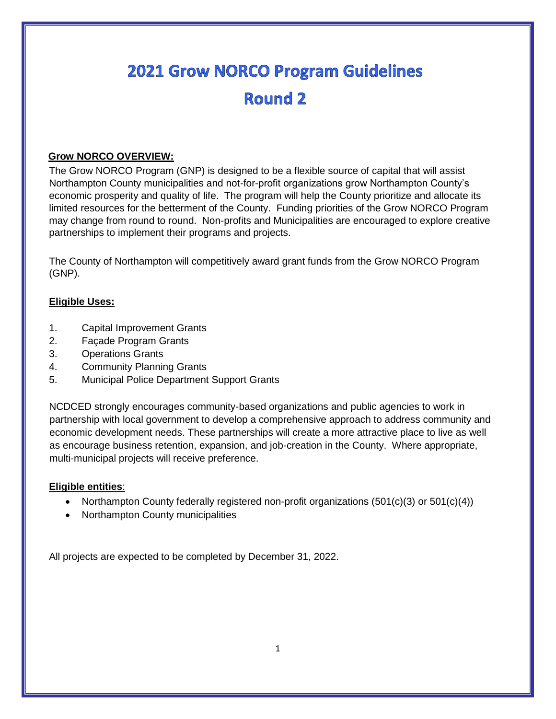# **2021 Grow NORCO Program Guidelines** Round<sub>2</sub>

# **Grow NORCO OVERVIEW:**

The Grow NORCO Program (GNP) is designed to be a flexible source of capital that will assist Northampton County municipalities and not-for-profit organizations grow Northampton County's economic prosperity and quality of life. The program will help the County prioritize and allocate its limited resources for the betterment of the County. Funding priorities of the Grow NORCO Program may change from round to round. Non-profits and Municipalities are encouraged to explore creative partnerships to implement their programs and projects.

The County of Northampton will competitively award grant funds from the Grow NORCO Program (GNP).

# **Eligible Uses:**

- 1. Capital Improvement Grants
- 2. Façade Program Grants
- 3. Operations Grants
- 4. Community Planning Grants
- 5. Municipal Police Department Support Grants

NCDCED strongly encourages community-based organizations and public agencies to work in partnership with local government to develop a comprehensive approach to address community and economic development needs. These partnerships will create a more attractive place to live as well as encourage business retention, expansion, and job-creation in the County. Where appropriate, multi-municipal projects will receive preference.

# **Eligible entities**:

- Northampton County federally registered non-profit organizations  $(501(c)(3)$  or  $501(c)(4))$
- Northampton County municipalities

All projects are expected to be completed by December 31, 2022.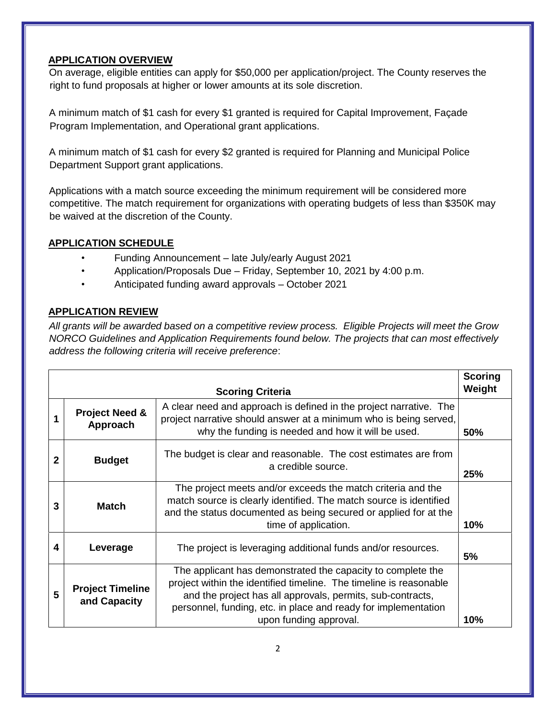# **APPLICATION OVERVIEW**

On average, eligible entities can apply for \$50,000 per application/project. The County reserves the right to fund proposals at higher or lower amounts at its sole discretion.

A minimum match of \$1 cash for every \$1 granted is required for Capital Improvement, Façade Program Implementation, and Operational grant applications.

A minimum match of \$1 cash for every \$2 granted is required for Planning and Municipal Police Department Support grant applications.

Applications with a match source exceeding the minimum requirement will be considered more competitive. The match requirement for organizations with operating budgets of less than \$350K may be waived at the discretion of the County.

# **APPLICATION SCHEDULE**

- Funding Announcement late July/early August 2021
- Application/Proposals Due Friday, September 10, 2021 by 4:00 p.m.
- Anticipated funding award approvals October 2021

# **APPLICATION REVIEW**

*All grants will be awarded based on a competitive review process. Eligible Projects will meet the Grow NORCO Guidelines and Application Requirements found below. The projects that can most effectively address the following criteria will receive preference*:

|                         |                                         |                                                                                                                                                                                                                                                                                             | <b>Scoring</b> |
|-------------------------|-----------------------------------------|---------------------------------------------------------------------------------------------------------------------------------------------------------------------------------------------------------------------------------------------------------------------------------------------|----------------|
| <b>Scoring Criteria</b> |                                         |                                                                                                                                                                                                                                                                                             | Weight         |
|                         | <b>Project Need &amp;</b><br>Approach   | A clear need and approach is defined in the project narrative. The<br>project narrative should answer at a minimum who is being served,<br>why the funding is needed and how it will be used.                                                                                               | 50%            |
| 2                       | <b>Budget</b>                           | The budget is clear and reasonable. The cost estimates are from<br>a credible source.                                                                                                                                                                                                       | 25%            |
| 3                       | <b>Match</b>                            | The project meets and/or exceeds the match criteria and the<br>match source is clearly identified. The match source is identified<br>and the status documented as being secured or applied for at the<br>time of application.                                                               | 10%            |
| 4                       | Leverage                                | The project is leveraging additional funds and/or resources.                                                                                                                                                                                                                                | 5%             |
| 5                       | <b>Project Timeline</b><br>and Capacity | The applicant has demonstrated the capacity to complete the<br>project within the identified timeline. The timeline is reasonable<br>and the project has all approvals, permits, sub-contracts,<br>personnel, funding, etc. in place and ready for implementation<br>upon funding approval. | 10%            |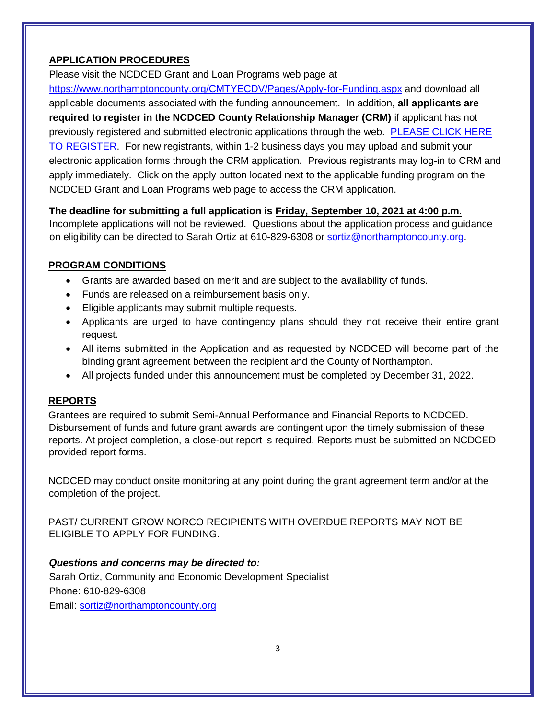# **APPLICATION PROCEDURES**

Please visit the NCDCED Grant and Loan Programs web page at

<https://www.northamptoncounty.org/CMTYECDV/Pages/Apply-for-Funding.aspx> and download all applicable documents associated with the funding announcement. In addition, **all applicants are required to register in the NCDCED County Relationship Manager (CRM)** if applicant has not previously registered and submitted electronic applications through the web. [PLEASE CLICK HERE](https://web.northamptoncounty.org/DCEDForms/views/Login.html)  [TO REGISTER.](https://web.northamptoncounty.org/DCEDForms/views/Login.html) For new registrants, within 1-2 business days you may upload and submit your electronic application forms through the CRM application. Previous registrants may log-in to CRM and apply immediately. Click on the apply button located next to the applicable funding program on the NCDCED Grant and Loan Programs web page to access the CRM application.

**The deadline for submitting a full application is Friday, September 10, 2021 at 4:00 p.m**. Incomplete applications will not be reviewed. Questions about the application process and guidance on eligibility can be directed to Sarah Ortiz at 610-829-6308 or [sortiz@northamptoncounty.org.](mailto:sortiz@northamptoncounty.org)

# **PROGRAM CONDITIONS**

- Grants are awarded based on merit and are subject to the availability of funds.
- Funds are released on a reimbursement basis only.
- Eligible applicants may submit multiple requests.
- Applicants are urged to have contingency plans should they not receive their entire grant request.
- All items submitted in the Application and as requested by NCDCED will become part of the binding grant agreement between the recipient and the County of Northampton.
- All projects funded under this announcement must be completed by December 31, 2022.

# **REPORTS**

Grantees are required to submit Semi-Annual Performance and Financial Reports to NCDCED. Disbursement of funds and future grant awards are contingent upon the timely submission of these reports. At project completion, a close-out report is required. Reports must be submitted on NCDCED provided report forms.

NCDCED may conduct onsite monitoring at any point during the grant agreement term and/or at the completion of the project.

PAST/ CURRENT GROW NORCO RECIPIENTS WITH OVERDUE REPORTS MAY NOT BE ELIGIBLE TO APPLY FOR FUNDING.

# *Questions and concerns may be directed to:*

Sarah Ortiz, Community and Economic Development Specialist Phone: 610-829-6308 Email: [sortiz@northamptoncounty.org](mailto:sortiz@northamptoncounty.org)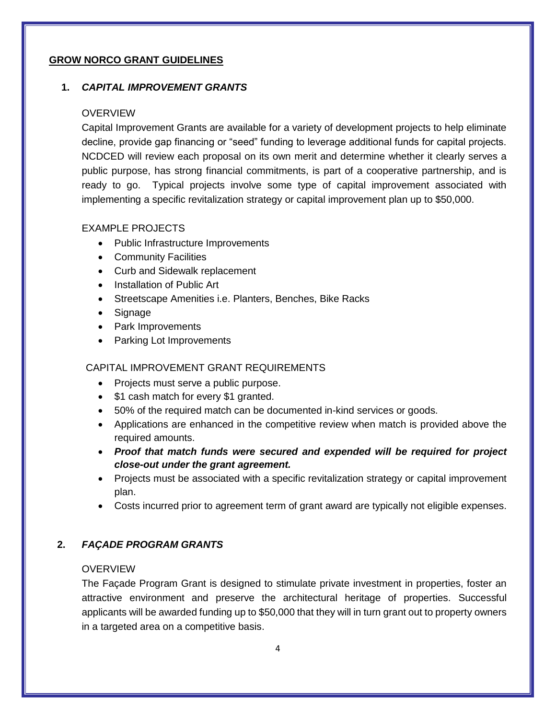# **GROW NORCO GRANT GUIDELINES**

# **1.** *CAPITAL IMPROVEMENT GRANTS*

#### OVERVIEW

Capital Improvement Grants are available for a variety of development projects to help eliminate decline, provide gap financing or "seed" funding to leverage additional funds for capital projects. NCDCED will review each proposal on its own merit and determine whether it clearly serves a public purpose, has strong financial commitments, is part of a cooperative partnership, and is ready to go. Typical projects involve some type of capital improvement associated with implementing a specific revitalization strategy or capital improvement plan up to \$50,000.

# EXAMPLE PROJECTS

- Public Infrastructure Improvements
- Community Facilities
- Curb and Sidewalk replacement
- Installation of Public Art
- Streetscape Amenities i.e. Planters, Benches, Bike Racks
- Signage
- Park Improvements
- Parking Lot Improvements

# CAPITAL IMPROVEMENT GRANT REQUIREMENTS

- Projects must serve a public purpose.
- \$1 cash match for every \$1 granted.
- 50% of the required match can be documented in-kind services or goods.
- Applications are enhanced in the competitive review when match is provided above the required amounts.
- *Proof that match funds were secured and expended will be required for project close-out under the grant agreement.*
- Projects must be associated with a specific revitalization strategy or capital improvement plan.
- Costs incurred prior to agreement term of grant award are typically not eligible expenses.

# **2.** *FAÇADE PROGRAM GRANTS*

# **OVERVIEW**

The Façade Program Grant is designed to stimulate private investment in properties, foster an attractive environment and preserve the architectural heritage of properties. Successful applicants will be awarded funding up to \$50,000 that they will in turn grant out to property owners in a targeted area on a competitive basis.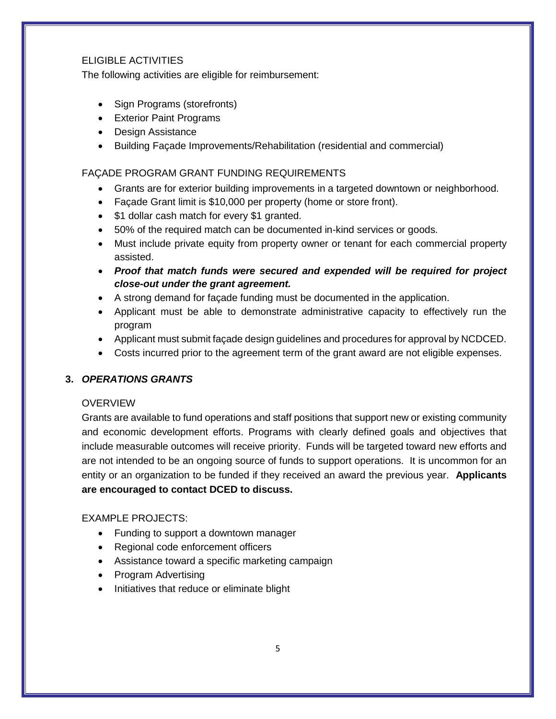# ELIGIBLE ACTIVITIES

The following activities are eligible for reimbursement:

- Sign Programs (storefronts)
- Exterior Paint Programs
- Design Assistance
- Building Façade Improvements/Rehabilitation (residential and commercial)

# FAÇADE PROGRAM GRANT FUNDING REQUIREMENTS

- Grants are for exterior building improvements in a targeted downtown or neighborhood.
- Façade Grant limit is \$10,000 per property (home or store front).
- \$1 dollar cash match for every \$1 granted.
- 50% of the required match can be documented in-kind services or goods.
- Must include private equity from property owner or tenant for each commercial property assisted.
- *Proof that match funds were secured and expended will be required for project close-out under the grant agreement.*
- A strong demand for façade funding must be documented in the application.
- Applicant must be able to demonstrate administrative capacity to effectively run the program
- Applicant must submit façade design guidelines and procedures for approval by NCDCED.
- Costs incurred prior to the agreement term of the grant award are not eligible expenses.

# **3.** *OPERATIONS GRANTS*

# OVERVIEW

Grants are available to fund operations and staff positions that support new or existing community and economic development efforts. Programs with clearly defined goals and objectives that include measurable outcomes will receive priority. Funds will be targeted toward new efforts and are not intended to be an ongoing source of funds to support operations. It is uncommon for an entity or an organization to be funded if they received an award the previous year. **Applicants are encouraged to contact DCED to discuss.**

# $FXAMPI$  F PROJECTS:

- Funding to support a downtown manager
- Regional code enforcement officers
- Assistance toward a specific marketing campaign
- Program Advertising
- Initiatives that reduce or eliminate blight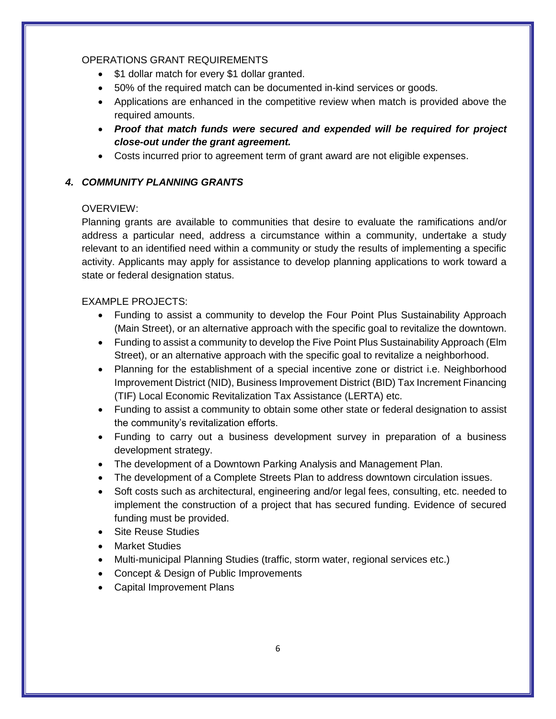#### OPERATIONS GRANT REQUIREMENTS

- \$1 dollar match for every \$1 dollar granted.
- 50% of the required match can be documented in-kind services or goods.
- Applications are enhanced in the competitive review when match is provided above the required amounts.
- *Proof that match funds were secured and expended will be required for project close-out under the grant agreement.*
- Costs incurred prior to agreement term of grant award are not eligible expenses.

# *4. COMMUNITY PLANNING GRANTS*

# OVERVIEW:

Planning grants are available to communities that desire to evaluate the ramifications and/or address a particular need, address a circumstance within a community, undertake a study relevant to an identified need within a community or study the results of implementing a specific activity. Applicants may apply for assistance to develop planning applications to work toward a state or federal designation status.

# EXAMPLE PROJECTS:

- Funding to assist a community to develop the Four Point Plus Sustainability Approach (Main Street), or an alternative approach with the specific goal to revitalize the downtown.
- Funding to assist a community to develop the Five Point Plus Sustainability Approach (Elm Street), or an alternative approach with the specific goal to revitalize a neighborhood.
- Planning for the establishment of a special incentive zone or district i.e. Neighborhood Improvement District (NID), Business Improvement District (BID) Tax Increment Financing (TIF) Local Economic Revitalization Tax Assistance (LERTA) etc.
- Funding to assist a community to obtain some other state or federal designation to assist the community's revitalization efforts.
- Funding to carry out a business development survey in preparation of a business development strategy.
- The development of a Downtown Parking Analysis and Management Plan.
- The development of a Complete Streets Plan to address downtown circulation issues.
- Soft costs such as architectural, engineering and/or legal fees, consulting, etc. needed to implement the construction of a project that has secured funding. Evidence of secured funding must be provided.
- **Site Reuse Studies**
- Market Studies
- Multi-municipal Planning Studies (traffic, storm water, regional services etc.)
- Concept & Design of Public Improvements
- Capital Improvement Plans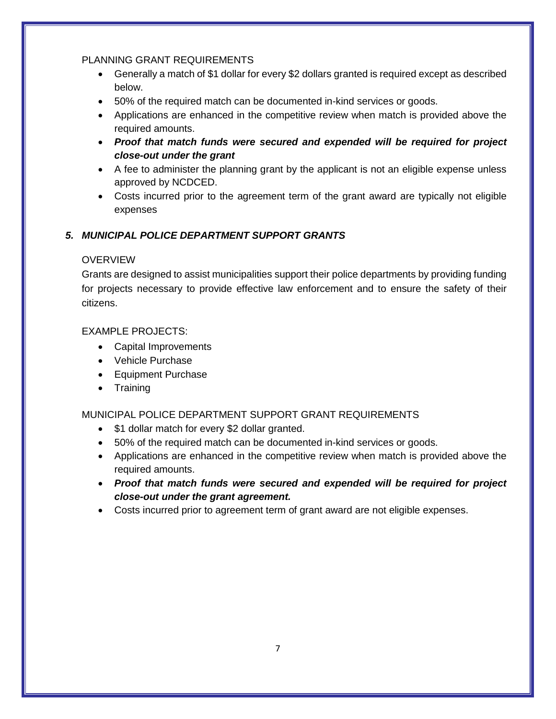#### PLANNING GRANT REQUIREMENTS

- Generally a match of \$1 dollar for every \$2 dollars granted is required except as described below.
- 50% of the required match can be documented in-kind services or goods.
- Applications are enhanced in the competitive review when match is provided above the required amounts.
- *Proof that match funds were secured and expended will be required for project close-out under the grant*
- A fee to administer the planning grant by the applicant is not an eligible expense unless approved by NCDCED.
- Costs incurred prior to the agreement term of the grant award are typically not eligible expenses

# *5. MUNICIPAL POLICE DEPARTMENT SUPPORT GRANTS*

# **OVERVIEW**

Grants are designed to assist municipalities support their police departments by providing funding for projects necessary to provide effective law enforcement and to ensure the safety of their citizens.

# EXAMPLE PROJECTS:

- Capital Improvements
- Vehicle Purchase
- Equipment Purchase
- Training

# MUNICIPAL POLICE DEPARTMENT SUPPORT GRANT REQUIREMENTS

- \$1 dollar match for every \$2 dollar granted.
- 50% of the required match can be documented in-kind services or goods.
- Applications are enhanced in the competitive review when match is provided above the required amounts.
- *Proof that match funds were secured and expended will be required for project close-out under the grant agreement.*
- Costs incurred prior to agreement term of grant award are not eligible expenses.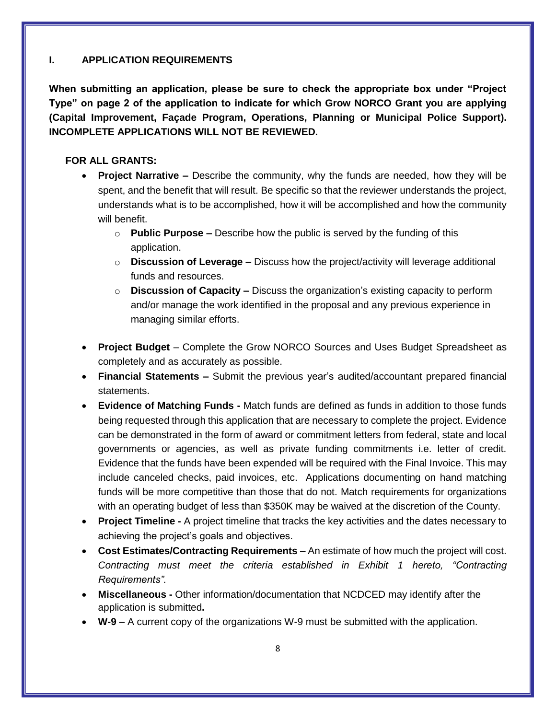# **I. APPLICATION REQUIREMENTS**

**When submitting an application, please be sure to check the appropriate box under "Project Type" on page 2 of the application to indicate for which Grow NORCO Grant you are applying (Capital Improvement, Façade Program, Operations, Planning or Municipal Police Support). INCOMPLETE APPLICATIONS WILL NOT BE REVIEWED.**

# **FOR ALL GRANTS:**

- **Project Narrative –** Describe the community, why the funds are needed, how they will be spent, and the benefit that will result. Be specific so that the reviewer understands the project, understands what is to be accomplished, how it will be accomplished and how the community will benefit.
	- o **Public Purpose –** Describe how the public is served by the funding of this application.
	- o **Discussion of Leverage –** Discuss how the project/activity will leverage additional funds and resources.
	- o **Discussion of Capacity –** Discuss the organization's existing capacity to perform and/or manage the work identified in the proposal and any previous experience in managing similar efforts.
- **Project Budget**  Complete the Grow NORCO Sources and Uses Budget Spreadsheet as completely and as accurately as possible.
- **Financial Statements –** Submit the previous year's audited/accountant prepared financial statements.
- **Evidence of Matching Funds -** Match funds are defined as funds in addition to those funds being requested through this application that are necessary to complete the project. Evidence can be demonstrated in the form of award or commitment letters from federal, state and local governments or agencies, as well as private funding commitments i.e. letter of credit. Evidence that the funds have been expended will be required with the Final Invoice. This may include canceled checks, paid invoices, etc. Applications documenting on hand matching funds will be more competitive than those that do not. Match requirements for organizations with an operating budget of less than \$350K may be waived at the discretion of the County.
- **Project Timeline -** A project timeline that tracks the key activities and the dates necessary to achieving the project's goals and objectives.
- **Cost Estimates/Contracting Requirements** An estimate of how much the project will cost. *Contracting must meet the criteria established in Exhibit 1 hereto, "Contracting Requirements"*.
- **Miscellaneous -** Other information/documentation that NCDCED may identify after the application is submitted**.**
- **W-9** A current copy of the organizations W-9 must be submitted with the application.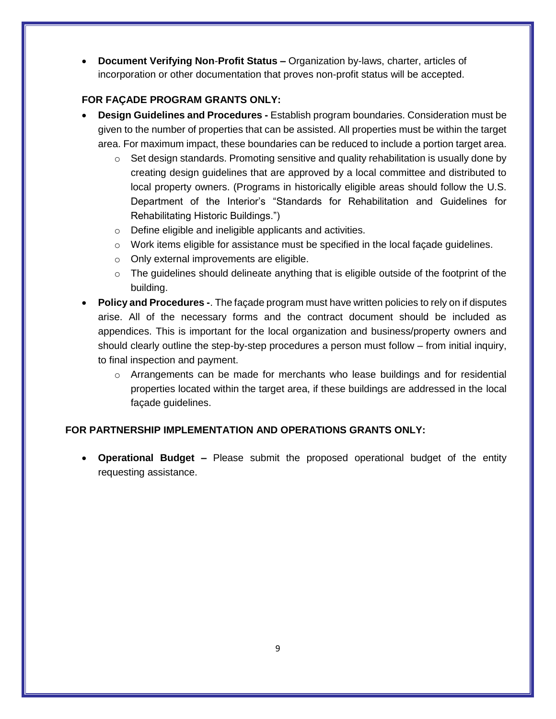**Document Verifying Non**-**Profit Status –** Organization by-laws, charter, articles of incorporation or other documentation that proves non-profit status will be accepted.

# **FOR FAÇADE PROGRAM GRANTS ONLY:**

- **Design Guidelines and Procedures -** Establish program boundaries. Consideration must be given to the number of properties that can be assisted. All properties must be within the target area. For maximum impact, these boundaries can be reduced to include a portion target area.
	- $\circ$  Set design standards. Promoting sensitive and quality rehabilitation is usually done by creating design guidelines that are approved by a local committee and distributed to local property owners. (Programs in historically eligible areas should follow the U.S. Department of the Interior's "Standards for Rehabilitation and Guidelines for Rehabilitating Historic Buildings.")
	- o Define eligible and ineligible applicants and activities.
	- o Work items eligible for assistance must be specified in the local façade guidelines.
	- o Only external improvements are eligible.
	- $\circ$  The quidelines should delineate anything that is eligible outside of the footprint of the building.
- **Policy and Procedures -**. The façade program must have written policies to rely on if disputes arise. All of the necessary forms and the contract document should be included as appendices. This is important for the local organization and business/property owners and should clearly outline the step-by-step procedures a person must follow – from initial inquiry, to final inspection and payment.
	- o Arrangements can be made for merchants who lease buildings and for residential properties located within the target area, if these buildings are addressed in the local façade guidelines.

# **FOR PARTNERSHIP IMPLEMENTATION AND OPERATIONS GRANTS ONLY:**

 **Operational Budget –** Please submit the proposed operational budget of the entity requesting assistance.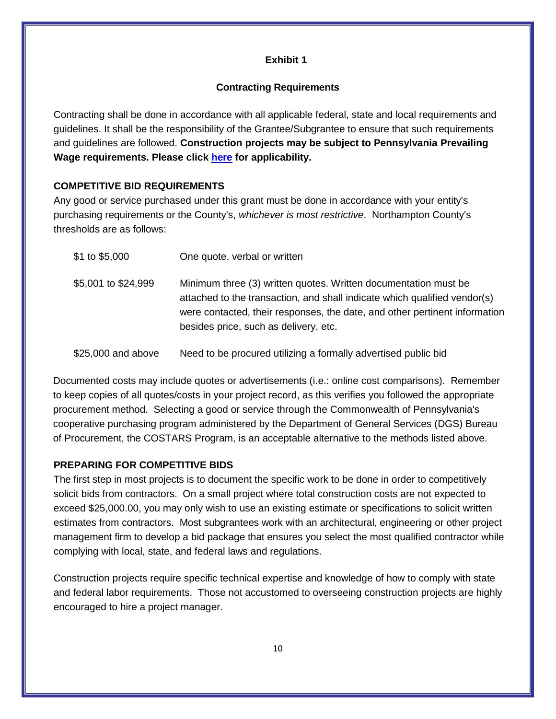# **Exhibit 1**

# **Contracting Requirements**

Contracting shall be done in accordance with all applicable federal, state and local requirements and guidelines. It shall be the responsibility of the Grantee/Subgrantee to ensure that such requirements and guidelines are followed. **Construction projects may be subject to Pennsylvania Prevailing Wage requirements. Please click [here](http://www.dli.pa.gov/Individuals/Labor-Management-Relations/llc/prevailing-wage/Pages/default.aspx) for applicability.** 

# **COMPETITIVE BID REQUIREMENTS**

Any good or service purchased under this grant must be done in accordance with your entity's purchasing requirements or the County's, *whichever is most restrictive*. Northampton County's thresholds are as follows:

| \$1 to \$5,000      | One quote, verbal or written                                                                                                                                                                                                                                        |
|---------------------|---------------------------------------------------------------------------------------------------------------------------------------------------------------------------------------------------------------------------------------------------------------------|
| \$5,001 to \$24,999 | Minimum three (3) written quotes. Written documentation must be<br>attached to the transaction, and shall indicate which qualified vendor(s)<br>were contacted, their responses, the date, and other pertinent information<br>besides price, such as delivery, etc. |
| \$25,000 and above  | Need to be procured utilizing a formally advertised public bid                                                                                                                                                                                                      |

Documented costs may include quotes or advertisements (i.e.: online cost comparisons). Remember to keep copies of all quotes/costs in your project record, as this verifies you followed the appropriate procurement method. Selecting a good or service through the Commonwealth of Pennsylvania's cooperative purchasing program administered by the Department of General Services (DGS) Bureau of Procurement, the COSTARS Program, is an acceptable alternative to the methods listed above.

# **PREPARING FOR COMPETITIVE BIDS**

The first step in most projects is to document the specific work to be done in order to competitively solicit bids from contractors. On a small project where total construction costs are not expected to exceed \$25,000.00, you may only wish to use an existing estimate or specifications to solicit written estimates from contractors. Most subgrantees work with an architectural, engineering or other project management firm to develop a bid package that ensures you select the most qualified contractor while complying with local, state, and federal laws and regulations.

Construction projects require specific technical expertise and knowledge of how to comply with state and federal labor requirements. Those not accustomed to overseeing construction projects are highly encouraged to hire a project manager.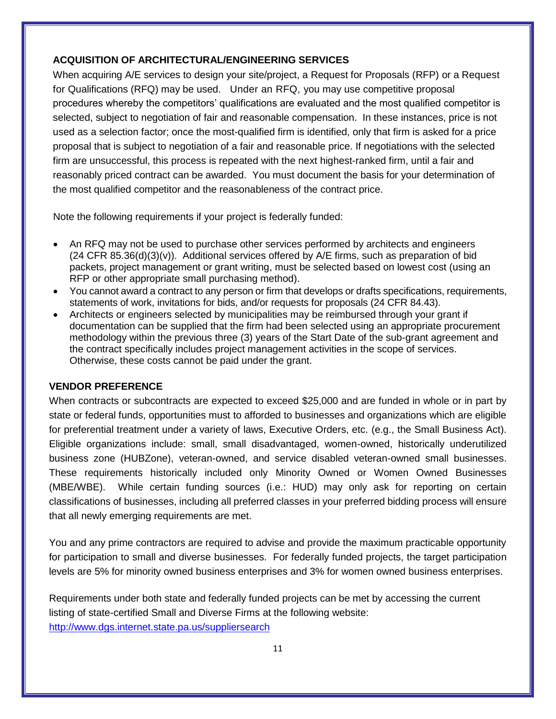# **ACQUISITION OF ARCHITECTURAL/ENGINEERING SERVICES**

When acquiring A/E services to design your site/project, a Request for Proposals (RFP) or a Request for Qualifications (RFQ) may be used. Under an RFQ, you may use competitive proposal procedures whereby the competitors' qualifications are evaluated and the most qualified competitor is selected, subject to negotiation of fair and reasonable compensation. In these instances, price is not used as a selection factor; once the most-qualified firm is identified, only that firm is asked for a price proposal that is subject to negotiation of a fair and reasonable price. If negotiations with the selected firm are unsuccessful, this process is repeated with the next highest-ranked firm, until a fair and reasonably priced contract can be awarded. You must document the basis for your determination of the most qualified competitor and the reasonableness of the contract price.

Note the following requirements if your project is federally funded:

- An RFQ may not be used to purchase other services performed by architects and engineers  $(24$  CFR 85.36(d) $(3)(v)$ ). Additional services offered by A/E firms, such as preparation of bid packets, project management or grant writing, must be selected based on lowest cost (using an RFP or other appropriate small purchasing method).
- You cannot award a contract to any person or firm that develops or drafts specifications, requirements, statements of work, invitations for bids, and/or requests for proposals (24 CFR 84.43).
- Architects or engineers selected by municipalities may be reimbursed through your grant if documentation can be supplied that the firm had been selected using an appropriate procurement methodology within the previous three (3) years of the Start Date of the sub-grant agreement and the contract specifically includes project management activities in the scope of services. Otherwise, these costs cannot be paid under the grant.

# **VENDOR PREFERENCE**

When contracts or subcontracts are expected to exceed \$25,000 and are funded in whole or in part by state or federal funds, opportunities must to afforded to businesses and organizations which are eligible for preferential treatment under a variety of laws, Executive Orders, etc. (e.g., the Small Business Act). Eligible organizations include: small, small disadvantaged, women-owned, historically underutilized business zone (HUBZone), veteran-owned, and service disabled veteran-owned small businesses. These requirements historically included only Minority Owned or Women Owned Businesses (MBE/WBE). While certain funding sources (i.e.: HUD) may only ask for reporting on certain classifications of businesses, including all preferred classes in your preferred bidding process will ensure that all newly emerging requirements are met.

You and any prime contractors are required to advise and provide the maximum practicable opportunity for participation to small and diverse businesses. For federally funded projects, the target participation levels are 5% for minority owned business enterprises and 3% for women owned business enterprises.

Requirements under both state and federally funded projects can be met by accessing the current listing of state-certified Small and Diverse Firms at the following website: <http://www.dgs.internet.state.pa.us/suppliersearch>